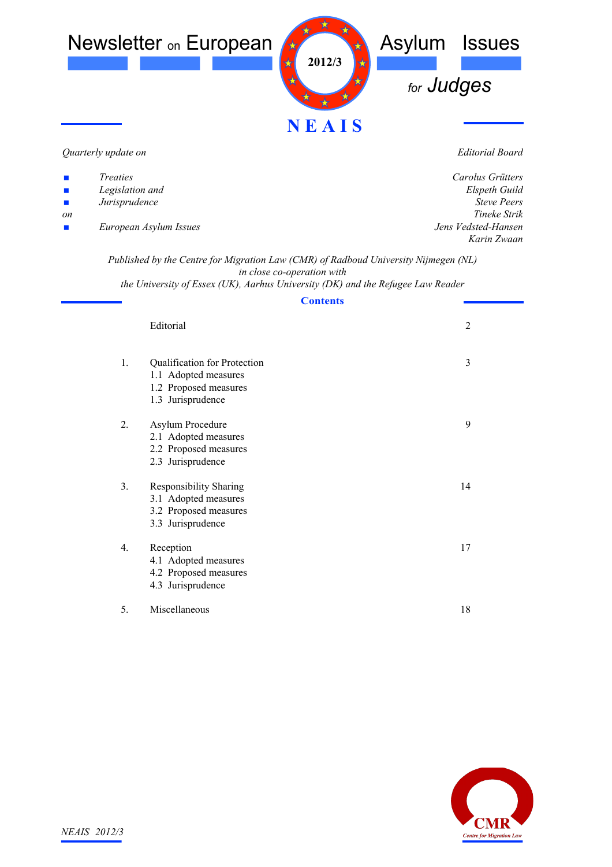

*Quarterly update on*

*Editorial Board*

| $\mathcal{L}_{\mathcal{A}}$ | <i>Treaties</i>        | Carolus Grütters    |
|-----------------------------|------------------------|---------------------|
| $\mathcal{L}_{\mathcal{A}}$ | Legislation and        | Elspeth Guild       |
| <b>Contract</b>             | Jurisprudence          | <b>Steve Peers</b>  |
| on                          |                        | Tineke Strik        |
| $\mathcal{L}_{\mathcal{A}}$ | European Asylum Issues | Jens Vedsted-Hansen |
|                             |                        | Karin Zwaan         |

*Published by the Centre for Migration Law (CMR) of Radboud University Nijmegen (NL) in close co-operation with the University of Essex (UK), Aarhus University (DK) and the Refugee Law Reader*

**Contents**

|             | Editorial                                                                                           | $\overline{2}$ |
|-------------|-----------------------------------------------------------------------------------------------------|----------------|
| 1.          | Qualification for Protection<br>1.1 Adopted measures<br>1.2 Proposed measures<br>1.3 Jurisprudence  | 3              |
| $2_{\cdot}$ | Asylum Procedure<br>2.1 Adopted measures<br>2.2 Proposed measures<br>2.3 Jurisprudence              | 9              |
| 3.          | <b>Responsibility Sharing</b><br>3.1 Adopted measures<br>3.2 Proposed measures<br>3.3 Jurisprudence | 14             |
| 4.          | Reception<br>4.1 Adopted measures<br>4.2 Proposed measures<br>4.3 Jurisprudence                     | 17             |
| 5.          | Miscellaneous                                                                                       | 18             |

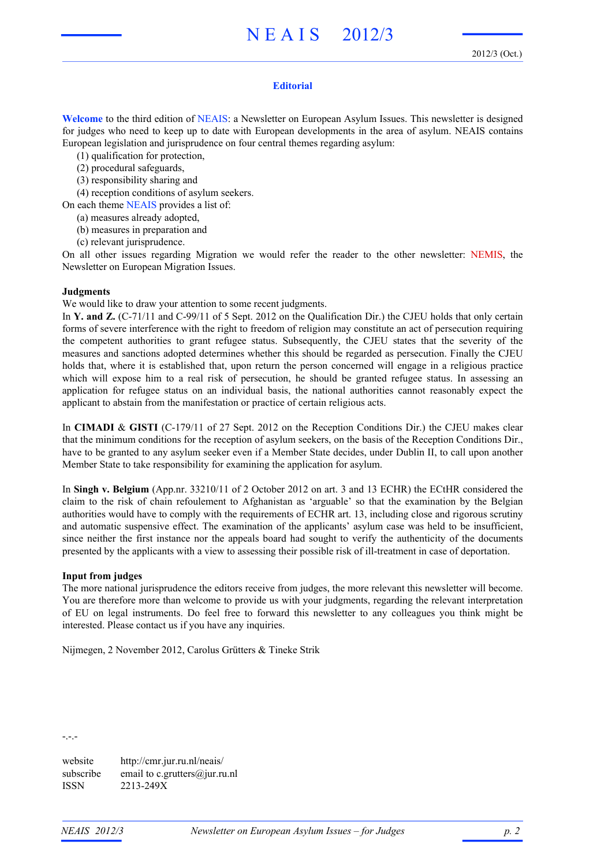#### **Editorial**

**Welcome** to the third edition of NEAIS: a Newsletter on European Asylum Issues. This newsletter is designed for judges who need to keep up to date with European developments in the area of asylum. NEAIS contains European legislation and jurisprudence on four central themes regarding asylum:

(1) qualification for protection,

- (2) procedural safeguards,
- (3) responsibility sharing and
- (4) reception conditions of asylum seekers.

On each theme NEAIS provides a list of:

- (a) measures already adopted,
- (b) measures in preparation and
- (c) relevant jurisprudence.

On all other issues regarding Migration we would refer the reader to the other newsletter: NEMIS, the Newsletter on European Migration Issues.

#### **Judgments**

We would like to draw your attention to some recent judgments.

In **Y. and Z.** (C-71/11 and C-99/11 of 5 Sept. 2012 on the Qualification Dir.) the CJEU holds that only certain forms of severe interference with the right to freedom of religion may constitute an act of persecution requiring the competent authorities to grant refugee status. Subsequently, the CJEU states that the severity of the measures and sanctions adopted determines whether this should be regarded as persecution. Finally the CJEU holds that, where it is established that, upon return the person concerned will engage in a religious practice which will expose him to a real risk of persecution, he should be granted refugee status. In assessing an application for refugee status on an individual basis, the national authorities cannot reasonably expect the applicant to abstain from the manifestation or practice of certain religious acts.

In **CIMADI** & **GISTI** (C-179/11 of 27 Sept. 2012 on the Reception Conditions Dir.) the CJEU makes clear that the minimum conditions for the reception of asylum seekers, on the basis of the Reception Conditions Dir., have to be granted to any asylum seeker even if a Member State decides, under Dublin II, to call upon another Member State to take responsibility for examining the application for asylum.

In **Singh v. Belgium** (App.nr. 33210/11 of 2 October 2012 on art. 3 and 13 ECHR) the ECtHR considered the claim to the risk of chain refoulement to Afghanistan as 'arguable' so that the examination by the Belgian authorities would have to comply with the requirements of ECHR art. 13, including close and rigorous scrutiny and automatic suspensive effect. The examination of the applicants' asylum case was held to be insufficient, since neither the first instance nor the appeals board had sought to verify the authenticity of the documents presented by the applicants with a view to assessing their possible risk of ill-treatment in case of deportation.

#### **Input from judges**

The more national jurisprudence the editors receive from judges, the more relevant this newsletter will become. You are therefore more than welcome to provide us with your judgments, regarding the relevant interpretation of EU on legal instruments. Do feel free to forward this newsletter to any colleagues you think might be interested. Please contact us if you have any inquiries.

Nijmegen, 2 November 2012, Carolus Grütters & Tineke Strik

-.-.-

website http://cmr.jur.ru.nl/neais/ subscribe email to c.grutters $(\partial_i)$ ur.ru.nl ISSN 2213-249X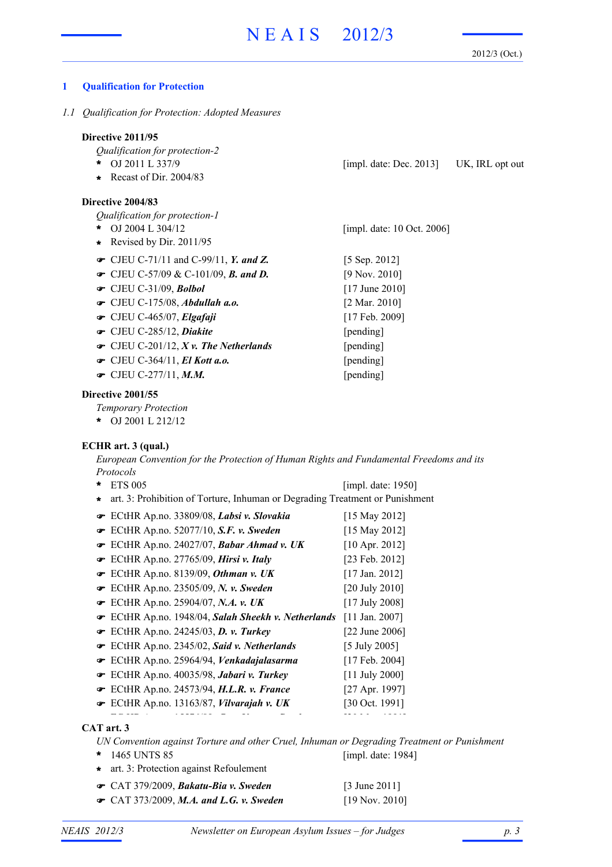[impl. date: 10 Oct. 2006]

2012/3 (Oct.)

## **1 Qualification for Protection**

*1.1 Qualification for Protection: Adopted Measures*

## **Directive 2011/95**

*Qualification for protection-2*

- OJ 2011 L 337/9 UK, IRL opt out **\*** [impl. date: Dec. 2013]
- **\*** Recast of Dir. 2004/83

## **Directive 2004/83**

*Qualification for protection-1*

- OJ 2004 L 304/12 **\***
- **\*** Revised by Dir. 2011/95
- CJEU C-71/11 and C-99/11, *Y. and Z.* [5 Sep. 2012]
- CJEU C-57/09 & C-101/09, *B. and D.* [9 Nov. 2010]
- CJEU C-31/09, *Bolbol* [17 June 2010]
- CJEU C-175/08, *Abdullah a.o.* [2 Mar. 2010]
- CJEU C-465/07, *Elgafaji* [17 Feb. 2009]
- CJEU C-285/12, *Diakite* [pending]
- CJEU C-201/12, *X v. The Netherlands* [pending]
- CJEU C-364/11, *El Kott a.o.* [pending]
- CJEU C-277/11, *M.M.* [pending]

## **Directive 2001/55**

*Temporary Protection*

OJ 2001 L 212/12 **\***

# **ECHR art. 3 (qual.)**

*European Convention for the Protection of Human Rights and Fundamental Freedoms and its Protocols*

ETS 005 **\*** ECtHR Ap.no. 33809/08, *Labsi v. Slovakia* [15 May 2012] ECtHR Ap.no. 52077/10, *S.F. v. Sweden* [15 May 2012] ECtHR Ap.no. 24027/07, *Babar Ahmad v. UK* [10 Apr. 2012] ECtHR Ap.no. 27765/09, *Hirsi v. Italy* [23 Feb. 2012] ECtHR Ap.no. 8139/09, *Othman v. UK* [17 Jan. 2012] ECtHR Ap.no. 23505/09, *N. v. Sweden* [20 July 2010] ECtHR Ap.no. 25904/07, *N.A. v. UK* [17 July 2008] ECtHR Ap.no. 1948/04, *Salah Sheekh v. Netherlands* [11 Jan. 2007] ECtHR Ap.no. 24245/03, *D. v. Turkey* [22 June 2006] ECtHR Ap.no. 2345/02, *Said v. Netherlands* [5 July 2005] ECtHR Ap.no. 25964/94, *Venkadajalasarma* [17 Feb. 2004] ECtHR Ap.no. 40035/98, *Jabari v. Turkey* [11 July 2000] ECtHR Ap.no. 24573/94, *H.L.R. v. France* [27 Apr. 1997] ECtHR Ap.no. 13163/87, *Vilvarajah v. UK* [30 Oct. 1991] [impl. date: 1950] **\*** art. 3: Prohibition of Torture, Inhuman or Degrading Treatment or Punishment

#### ECtHR Ap.no. 15576/89, *Cruz Varas v. Sweden* [20 Mar. 1991] **CAT art. 3**

*UN Convention against Torture and other Cruel, Inhuman or Degrading Treatment or Punishment* 1465 UNTS 85 **\*** [impl. date: 1984]

- **\*** art. 3: Protection against Refoulement
- CAT 379/2009, *Bakatu-Bia v. Sweden* [3 June 2011]
- CAT 373/2009, *M.A. and L.G. v. Sweden* [19 Nov. 2010]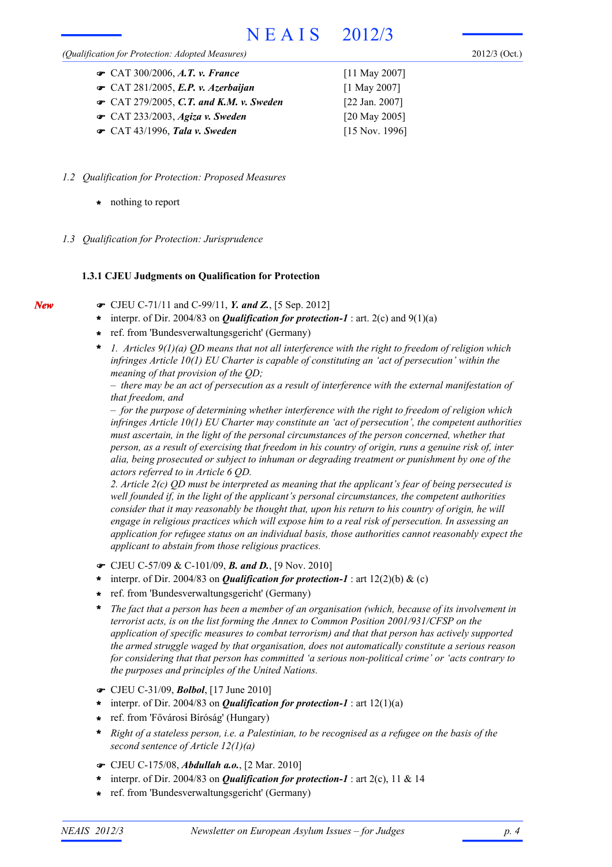#### *(Qualification for Protection: Adopted Measures)*

2012/3 (Oct.)

| • CAT 300/2006, A.T. v. France                  | $[11$ May 2007]           |
|-------------------------------------------------|---------------------------|
| $\bullet$ CAT 281/2005, E.P. v. Azerbaijan      | $[1$ May 2007]            |
| $\bullet$ CAT 279/2005, C.T. and K.M. v. Sweden | $[22 \text{ Jan. } 2007]$ |
| $\bullet$ CAT 233/2003, Agiza v. Sweden         | [20 May 2005]             |
| $\bullet$ CAT 43/1996, Tala v. Sweden           | $[15$ Nov. 1996]          |

- *1.2 Qualification for Protection: Proposed Measures*
	- **\*** nothing to report

*New*

*1.3 Qualification for Protection: Jurisprudence*

# **1.3.1 CJEU Judgments on Qualification for Protection**

- CJEU C-71/11 and C-99/11, *Y. and Z.*, [5 Sep. 2012]
- \* interpr. of Dir. 2004/83 on *Qualification for protection-1* : art. 2(c) and 9(1)(a)
- ref. from 'Bundesverwaltungsgericht' (Germany) **\***
- *1. Articles 9(1)(a) QD means that not all interference with the right to freedom of religion which infringes Article 10(1) EU Charter is capable of constituting an 'act of persecution' within the meaning of that provision of the QD;* **\***

*– there may be an act of persecution as a result of interference with the external manifestation of that freedom, and*

*– for the purpose of determining whether interference with the right to freedom of religion which infringes Article 10(1) EU Charter may constitute an 'act of persecution', the competent authorities must ascertain, in the light of the personal circumstances of the person concerned, whether that person, as a result of exercising that freedom in his country of origin, runs a genuine risk of, inter alia, being prosecuted or subject to inhuman or degrading treatment or punishment by one of the actors referred to in Article 6 QD.*

*2. Article 2(c) QD must be interpreted as meaning that the applicant's fear of being persecuted is well founded if, in the light of the applicant's personal circumstances, the competent authorities consider that it may reasonably be thought that, upon his return to his country of origin, he will engage in religious practices which will expose him to a real risk of persecution. In assessing an application for refugee status on an individual basis, those authorities cannot reasonably expect the applicant to abstain from those religious practices.*

- CJEU C-57/09 & C-101/09, *B. and D.*, [9 Nov. 2010]
- \* interpr. of Dir. 2004/83 on *Qualification for protection-1* : art 12(2)(b) & (c)
- ref. from 'Bundesverwaltungsgericht' (Germany) **\***
- *The fact that a person has been a member of an organisation (which, because of its involvement in terrorist acts, is on the list forming the Annex to Common Position 2001/931/CFSP on the application of specific measures to combat terrorism) and that that person has actively supported the armed struggle waged by that organisation, does not automatically constitute a serious reason for considering that that person has committed 'a serious non-political crime' or 'acts contrary to the purposes and principles of the United Nations.* **\***
- CJEU C-31/09, *Bolbol*, [17 June 2010]
- \* interpr. of Dir. 2004/83 on *Qualification for protection-1* : art 12(1)(a)
- ref. from 'Fővárosi Bíróság' (Hungary) **\***
- *Right of a stateless person, i.e. a Palestinian, to be recognised as a refugee on the basis of the second sentence of Article 12(1)(a)* **\***
- CJEU C-175/08, *Abdullah a.o.*, [2 Mar. 2010]
- \* interpr. of Dir. 2004/83 on *Qualification for protection-1* : art 2(c), 11 & 14
- ref. from 'Bundesverwaltungsgericht' (Germany) **\***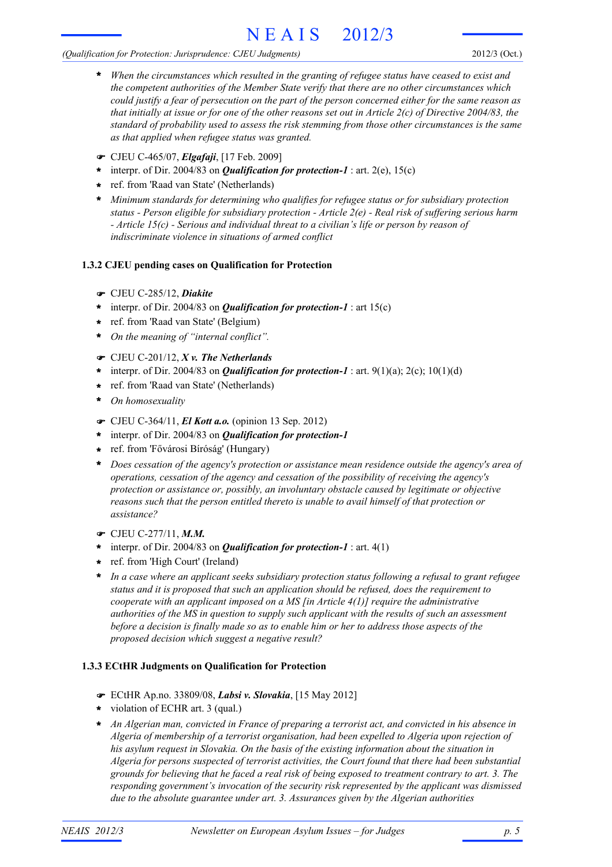# *(Qualification for Protection: Jurisprudence: CJEU Judgments)*

- *When the circumstances which resulted in the granting of refugee status have ceased to exist and the competent authorities of the Member State verify that there are no other circumstances which could justify a fear of persecution on the part of the person concerned either for the same reason as that initially at issue or for one of the other reasons set out in Article 2(c) of Directive 2004/83, the standard of probability used to assess the risk stemming from those other circumstances is the same as that applied when refugee status was granted.* **\***
- CJEU C-465/07, *Elgafaji*, [17 Feb. 2009]
- \* interpr. of Dir. 2004/83 on **Qualification for protection-1** : art. 2(e), 15(c)
- ref. from 'Raad van State' (Netherlands) **\***
- *Minimum standards for determining who qualifies for refugee status or for subsidiary protection* **\*** *status - Person eligible for subsidiary protection - Article 2(e) - Real risk of suffering serious harm - Article 15(c) - Serious and individual threat to a civilian's life or person by reason of indiscriminate violence in situations of armed conflict*

# **1.3.2 CJEU pending cases on Qualification for Protection**

- CJEU C-285/12, *Diakite*
- \* interpr. of Dir. 2004/83 on *Qualification for protection-1* : art 15(c)
- ref. from 'Raad van State' (Belgium) **\***
- *On the meaning of "internal conflict".* **\***
- CJEU C-201/12, *X v. The Netherlands*
- \* interpr. of Dir. 2004/83 on *Qualification for protection-1* : art. 9(1)(a); 2(c); 10(1)(d)
- ref. from 'Raad van State' (Netherlands) **\***
- *On homosexuality* **\***
- CJEU C-364/11, *El Kott a.o.* (opinion 13 Sep. 2012)
- interpr. of Dir. 2004/83 on *Qualification for protection-1* **\***
- ref. from 'Fővárosi Bíróság' (Hungary) **\***
- *Does cessation of the agency's protection or assistance mean residence outside the agency's area of* **\*** *operations, cessation of the agency and cessation of the possibility of receiving the agency's protection or assistance or, possibly, an involuntary obstacle caused by legitimate or objective reasons such that the person entitled thereto is unable to avail himself of that protection or assistance?*
- CJEU C-277/11, *M.M.*
- \* interpr. of Dir. 2004/83 on *Qualification for protection-1* : art. 4(1)
- ref. from 'High Court' (Ireland) **\***
- *In a case where an applicant seeks subsidiary protection status following a refusal to grant refugee status and it is proposed that such an application should be refused, does the requirement to cooperate with an applicant imposed on a MS [in Article 4(1)] require the administrative authorities of the MS in question to supply such applicant with the results of such an assessment before a decision is finally made so as to enable him or her to address those aspects of the proposed decision which suggest a negative result?* **\***

# **1.3.3 ECtHR Judgments on Qualification for Protection**

- ECtHR Ap.no. 33809/08, *Labsi v. Slovakia*, [15 May 2012]
- violation of ECHR art. 3 (qual.) **\***
- *An Algerian man, convicted in France of preparing a terrorist act, and convicted in his absence in* **\*** *Algeria of membership of a terrorist organisation, had been expelled to Algeria upon rejection of his asylum request in Slovakia. On the basis of the existing information about the situation in Algeria for persons suspected of terrorist activities, the Court found that there had been substantial grounds for believing that he faced a real risk of being exposed to treatment contrary to art. 3. The responding government's invocation of the security risk represented by the applicant was dismissed due to the absolute guarantee under art. 3. Assurances given by the Algerian authorities*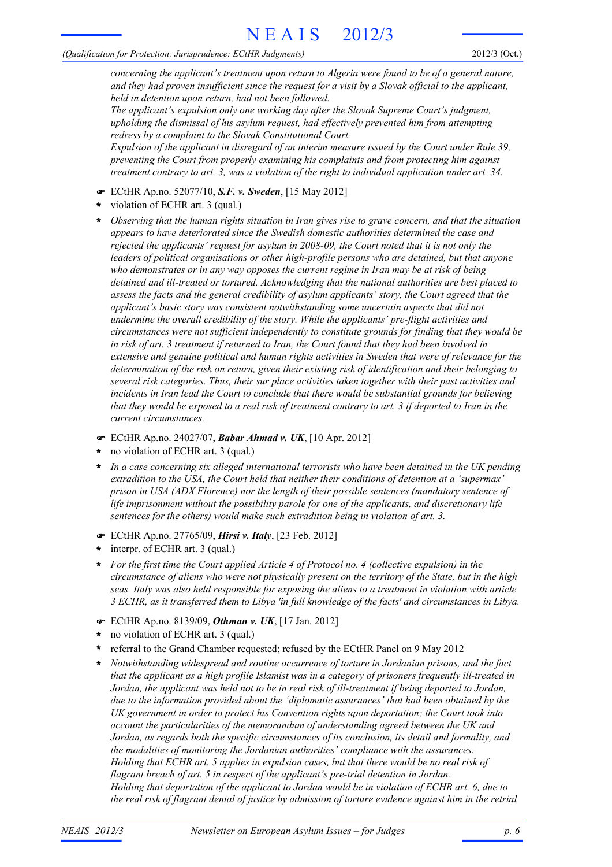#### *(Qualification for Protection: Jurisprudence: ECtHR Judgments)*

2012/3 (Oct.)

*concerning the applicant's treatment upon return to Algeria were found to be of a general nature, and they had proven insufficient since the request for a visit by a Slovak official to the applicant, held in detention upon return, had not been followed.*

*The applicant's expulsion only one working day after the Slovak Supreme Court's judgment, upholding the dismissal of his asylum request, had effectively prevented him from attempting redress by a complaint to the Slovak Constitutional Court.*

*Expulsion of the applicant in disregard of an interim measure issued by the Court under Rule 39, preventing the Court from properly examining his complaints and from protecting him against treatment contrary to art. 3, was a violation of the right to individual application under art. 34.*

- ECtHR Ap.no. 52077/10, *S.F. v. Sweden*, [15 May 2012]
- violation of ECHR art. 3 (qual.) **\***
- *Observing that the human rights situation in Iran gives rise to grave concern, and that the situation appears to have deteriorated since the Swedish domestic authorities determined the case and rejected the applicants' request for asylum in 2008-09, the Court noted that it is not only the leaders of political organisations or other high-profile persons who are detained, but that anyone who demonstrates or in any way opposes the current regime in Iran may be at risk of being detained and ill-treated or tortured. Acknowledging that the national authorities are best placed to assess the facts and the general credibility of asylum applicants' story, the Court agreed that the applicant's basic story was consistent notwithstanding some uncertain aspects that did not undermine the overall credibility of the story. While the applicants' pre-flight activities and circumstances were not sufficient independently to constitute grounds for finding that they would be in risk of art. 3 treatment if returned to Iran, the Court found that they had been involved in extensive and genuine political and human rights activities in Sweden that were of relevance for the determination of the risk on return, given their existing risk of identification and their belonging to several risk categories. Thus, their sur place activities taken together with their past activities and incidents in Iran lead the Court to conclude that there would be substantial grounds for believing that they would be exposed to a real risk of treatment contrary to art. 3 if deported to Iran in the current circumstances.* **\***
- ECtHR Ap.no. 24027/07, *Babar Ahmad v. UK*, [10 Apr. 2012]
- no violation of ECHR art. 3 (qual.) **\***
- *In a case concerning six alleged international terrorists who have been detained in the UK pending extradition to the USA, the Court held that neither their conditions of detention at a 'supermax' prison in USA (ADX Florence) nor the length of their possible sentences (mandatory sentence of life imprisonment without the possibility parole for one of the applicants, and discretionary life sentences for the others) would make such extradition being in violation of art. 3.* **\***
- ECtHR Ap.no. 27765/09, *Hirsi v. Italy*, [23 Feb. 2012]
- interpr. of ECHR art. 3 (qual.) **\***
- *For the first time the Court applied Article 4 of Protocol no. 4 (collective expulsion) in the circumstance of aliens who were not physically present on the territory of the State, but in the high seas. Italy was also held responsible for exposing the aliens to a treatment in violation with article 3 ECHR, as it transferred them to Libya 'in full knowledge of the facts' and circumstances in Libya.* **\***
- ECtHR Ap.no. 8139/09, *Othman v. UK*, [17 Jan. 2012]
- no violation of ECHR art. 3 (qual.) **\***
- referral to the Grand Chamber requested; refused by the ECtHR Panel on 9 May 2012 **\***
- *Notwithstanding widespread and routine occurrence of torture in Jordanian prisons, and the fact that the applicant as a high profile Islamist was in a category of prisoners frequently ill-treated in Jordan, the applicant was held not to be in real risk of ill-treatment if being deported to Jordan, due to the information provided about the 'diplomatic assurances' that had been obtained by the UK government in order to protect his Convention rights upon deportation; the Court took into account the particularities of the memorandum of understanding agreed between the UK and Jordan, as regards both the specific circumstances of its conclusion, its detail and formality, and the modalities of monitoring the Jordanian authorities' compliance with the assurances. Holding that ECHR art. 5 applies in expulsion cases, but that there would be no real risk of flagrant breach of art. 5 in respect of the applicant's pre-trial detention in Jordan. Holding that deportation of the applicant to Jordan would be in violation of ECHR art. 6, due to the real risk of flagrant denial of justice by admission of torture evidence against him in the retrial* **\***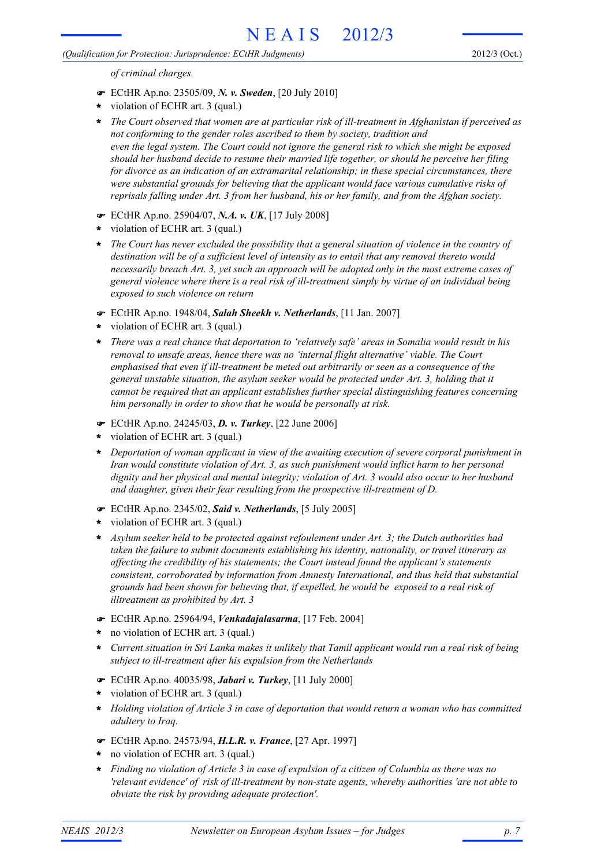## *(Qualification for Protection: Jurisprudence: ECtHR Judgments)*

*of criminal charges.*

- ECtHR Ap.no. 23505/09, *N. v. Sweden*, [20 July 2010]
- violation of ECHR art. 3 (qual.) **\***
- *The Court observed that women are at particular risk of ill-treatment in Afghanistan if perceived as not conforming to the gender roles ascribed to them by society, tradition and even the legal system. The Court could not ignore the general risk to which she might be exposed should her husband decide to resume their married life together, or should he perceive her filing for divorce as an indication of an extramarital relationship; in these special circumstances, there were substantial grounds for believing that the applicant would face various cumulative risks of reprisals falling under Art. 3 from her husband, his or her family, and from the Afghan society.* **\***
- ECtHR Ap.no. 25904/07, *N.A. v. UK*, [17 July 2008]
- violation of ECHR art. 3 (qual.) **\***
- *The Court has never excluded the possibility that a general situation of violence in the country of* **\*** *destination will be of a sufficient level of intensity as to entail that any removal thereto would necessarily breach Art. 3, yet such an approach will be adopted only in the most extreme cases of general violence where there is a real risk of ill-treatment simply by virtue of an individual being exposed to such violence on return*
- ECtHR Ap.no. 1948/04, *Salah Sheekh v. Netherlands*, [11 Jan. 2007]
- violation of ECHR art. 3 (qual.) **\***
- *There was a real chance that deportation to 'relatively safe' areas in Somalia would result in his* **\*** *removal to unsafe areas, hence there was no 'internal flight alternative' viable. The Court emphasised that even if ill-treatment be meted out arbitrarily or seen as a consequence of the general unstable situation, the asylum seeker would be protected under Art. 3, holding that it cannot be required that an applicant establishes further special distinguishing features concerning him personally in order to show that he would be personally at risk.*
- ECtHR Ap.no. 24245/03, *D. v. Turkey*, [22 June 2006]
- violation of ECHR art. 3 (qual.) **\***
- *Deportation of woman applicant in view of the awaiting execution of severe corporal punishment in* **\*** *Iran would constitute violation of Art. 3, as such punishment would inflict harm to her personal dignity and her physical and mental integrity; violation of Art. 3 would also occur to her husband and daughter, given their fear resulting from the prospective ill-treatment of D.*
- ECtHR Ap.no. 2345/02, *Said v. Netherlands*, [5 July 2005]
- violation of ECHR art. 3 (qual.) **\***
- *Asylum seeker held to be protected against refoulement under Art. 3; the Dutch authorities had taken the failure to submit documents establishing his identity, nationality, or travel itinerary as affecting the credibility of his statements; the Court instead found the applicant's statements consistent, corroborated by information from Amnesty International, and thus held that substantial grounds had been shown for believing that, if expelled, he would be exposed to a real risk of illtreatment as prohibited by Art. 3* **\***
- ECtHR Ap.no. 25964/94, *Venkadajalasarma*, [17 Feb. 2004]
- no violation of ECHR art. 3 (qual.) **\***
- *Current situation in Sri Lanka makes it unlikely that Tamil applicant would run a real risk of being subject to ill-treatment after his expulsion from the Netherlands* **\***
- ECtHR Ap.no. 40035/98, *Jabari v. Turkey*, [11 July 2000]
- violation of ECHR art. 3 (qual.) **\***
- *Holding violation of Article 3 in case of deportation that would return a woman who has committed* **\*** *adultery to Iraq.*
- ECtHR Ap.no. 24573/94, *H.L.R. v. France*, [27 Apr. 1997]
- no violation of ECHR art. 3 (qual.) **\***
- *Finding no violation of Article 3 in case of expulsion of a citizen of Columbia as there was no* **\*** *'relevant evidence' of risk of ill-treatment by non-state agents, whereby authorities 'are not able to obviate the risk by providing adequate protection'.*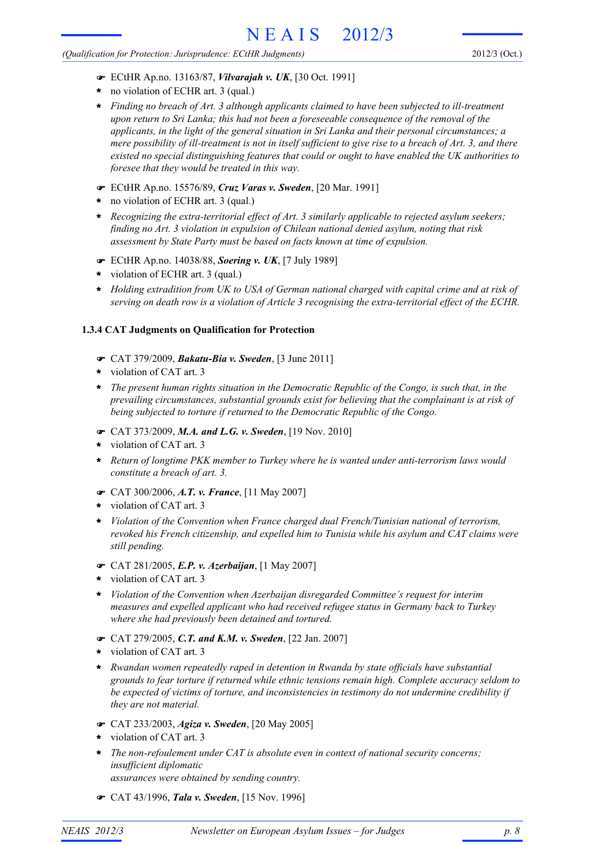#### *(Qualification for Protection: Jurisprudence: ECtHR Judgments)*

- ECtHR Ap.no. 13163/87, *Vilvarajah v. UK*, [30 Oct. 1991]
- no violation of ECHR art. 3 (qual.) **\***
- *Finding no breach of Art. 3 although applicants claimed to have been subjected to ill-treatment upon return to Sri Lanka; this had not been a foreseeable consequence of the removal of the applicants, in the light of the general situation in Sri Lanka and their personal circumstances; a mere possibility of ill-treatment is not in itself sufficient to give rise to a breach of Art. 3, and there existed no special distinguishing features that could or ought to have enabled the UK authorities to foresee that they would be treated in this way.* **\***
- ECtHR Ap.no. 15576/89, *Cruz Varas v. Sweden*, [20 Mar. 1991]
- no violation of ECHR art. 3 (qual.) **\***
- *Recognizing the extra-territorial effect of Art. 3 similarly applicable to rejected asylum seekers; finding no Art. 3 violation in expulsion of Chilean national denied asylum, noting that risk assessment by State Party must be based on facts known at time of expulsion.* **\***
- ECtHR Ap.no. 14038/88, *Soering v. UK*, [7 July 1989]
- violation of ECHR art. 3 (qual.) **\***
- *Holding extradition from UK to USA of German national charged with capital crime and at risk of* **\*** *serving on death row is a violation of Article 3 recognising the extra-territorial effect of the ECHR.*

## **1.3.4 CAT Judgments on Qualification for Protection**

- CAT 379/2009, *Bakatu-Bia v. Sweden*, [3 June 2011]
- violation of CAT art. 3 **\***
- *The present human rights situation in the Democratic Republic of the Congo, is such that, in the* **\*** *prevailing circumstances, substantial grounds exist for believing that the complainant is at risk of being subjected to torture if returned to the Democratic Republic of the Congo.*
- CAT 373/2009, *M.A. and L.G. v. Sweden*, [19 Nov. 2010]
- violation of CAT art. 3 **\***
- *Return of longtime PKK member to Turkey where he is wanted under anti-terrorism laws would* **\*** *constitute a breach of art. 3.*
- CAT 300/2006, *A.T. v. France*, [11 May 2007]
- violation of CAT art. 3 **\***
- *Violation of the Convention when France charged dual French/Tunisian national of terrorism,* **\*** *revoked his French citizenship, and expelled him to Tunisia while his asylum and CAT claims were still pending.*
- CAT 281/2005, *E.P. v. Azerbaijan*, [1 May 2007]
- violation of CAT art. 3 **\***
- *Violation of the Convention when Azerbaijan disregarded Committee's request for interim measures and expelled applicant who had received refugee status in Germany back to Turkey where she had previously been detained and tortured.* **\***
- CAT 279/2005, *C.T. and K.M. v. Sweden*, [22 Jan. 2007]
- violation of CAT art. 3 **\***
- *Rwandan women repeatedly raped in detention in Rwanda by state officials have substantial grounds to fear torture if returned while ethnic tensions remain high. Complete accuracy seldom to be expected of victims of torture, and inconsistencies in testimony do not undermine credibility if they are not material.* **\***
- CAT 233/2003, *Agiza v. Sweden*, [20 May 2005]
- violation of CAT art. 3 **\***
- *The non-refoulement under CAT is absolute even in context of national security concerns; insufficient diplomatic assurances were obtained by sending country.* **\***
- CAT 43/1996, *Tala v. Sweden*, [15 Nov. 1996]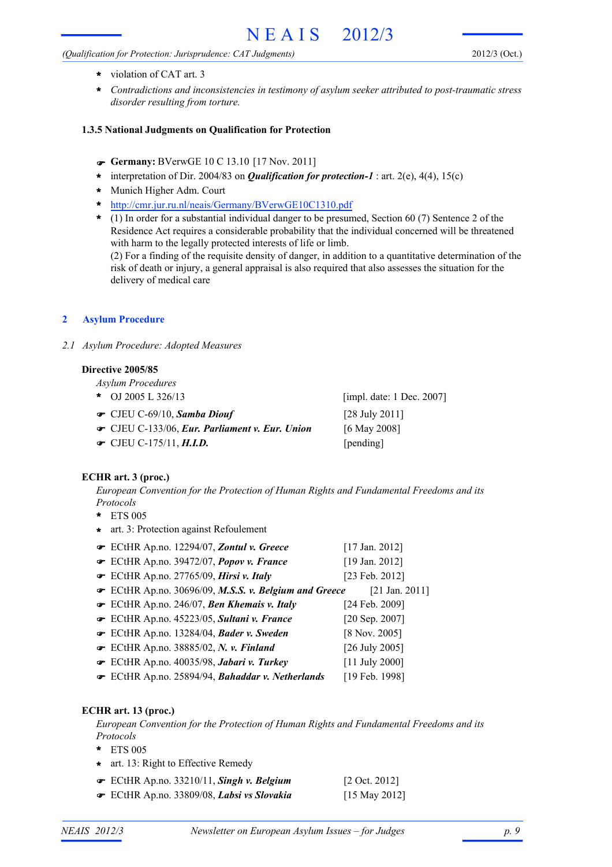## *(Qualification for Protection: Jurisprudence: CAT Judgments)*

- violation of CAT art. 3 **\***
- *Contradictions and inconsistencies in testimony of asylum seeker attributed to post-traumatic stress disorder resulting from torture.* **\***

## **1.3.5 National Judgments on Qualification for Protection**

- **Germany:** BVerwGE 10 C 13.10 [17 Nov. 2011]
- **\*** interpretation of Dir. 2004/83 on *Qualification for protection-1* : art. 2(e), 4(4), 15(c)
- Munich Higher Adm. Court **\***
- http://cmr.jur.ru.nl/neais/Germany/BVerwGE10C1310.pdf **\***
- (1) In order for a substantial individual danger to be presumed, Section 60 (7) Sentence 2 of the **\*** Residence Act requires a considerable probability that the individual concerned will be threatened with harm to the legally protected interests of life or limb.

(2) For a finding of the requisite density of danger, in addition to a quantitative determination of the risk of death or injury, a general appraisal is also required that also assesses the situation for the delivery of medical care

### **2 Asylum Procedure**

*2.1 Asylum Procedure: Adopted Measures*

#### **Directive 2005/85**

*Asylum Procedures*

- OJ 2005 L 326/13 **\***
- CJEU C-69/10, *Samba Diouf* [28 July 2011]
- CJEU C-133/06, *Eur. Parliament v. Eur. Union* [6 May 2008]
- CJEU C-175/11, *H.I.D.* [pending]

[impl. date: 1 Dec. 2007]

## **ECHR art. 3 (proc.)**

*European Convention for the Protection of Human Rights and Fundamental Freedoms and its Protocols*

- ETS 005 **\***
- **\*** art. 3: Protection against Refoulement
- ECtHR Ap.no. 12294/07, *Zontul v. Greece* [17 Jan. 2012] ECtHR Ap.no. 39472/07, *Popov v. France* [19 Jan. 2012] ECtHR Ap.no. 27765/09, *Hirsi v. Italy* [23 Feb. 2012] ECtHR Ap.no. 30696/09, *M.S.S. v. Belgium and Greece* [21 Jan. 2011] ECtHR Ap.no. 246/07, *Ben Khemais v. Italy* [24 Feb. 2009] ECtHR Ap.no. 45223/05, *Sultani v. France* [20 Sep. 2007] ECtHR Ap.no. 13284/04, *Bader v. Sweden* [8 Nov. 2005]
- ECtHR Ap.no. 38885/02, *N. v. Finland* [26 July 2005]
- ECtHR Ap.no. 40035/98, *Jabari v. Turkey* [11 July 2000]
- ECtHR Ap.no. 25894/94, *Bahaddar v. Netherlands* [19 Feb. 1998]

## **ECHR art. 13 (proc.)**

*European Convention for the Protection of Human Rights and Fundamental Freedoms and its Protocols*

- ETS 005 **\***
- **\*** art. 13: Right to Effective Remedy

| $\mathcal$ ECtHR Ap.no. 33210/11, Singh v. Belgium | $[2 \text{ Oct. } 2012]$ |
|----------------------------------------------------|--------------------------|
| ECtHR Ap.no. 33809/08, Labsi vs Slovakia           | [15 May 2012]            |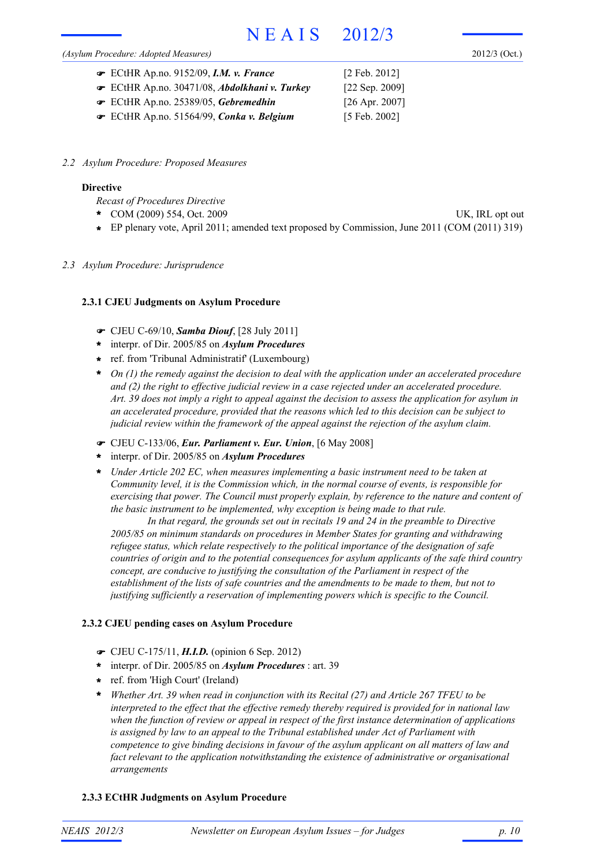#### *(Asylum Procedure: Adopted Measures)*

2012/3 (Oct.)

| ECtHR Ap.no. 9152/09, <i>I.M. v. France</i> | $[2 \text{ Feb. } 2012]$ |
|---------------------------------------------|--------------------------|
| ECtHR Ap.no. 30471/08, Abdolkhani v. Turkey | [ $22$ Sep. $2009$ ]     |
| ECtHR Ap.no. 25389/05, Gebremedhin          | $[26$ Apr. 2007]         |
| ECtHR Ap.no. 51564/99, Conka v. Belgium     | $[5 \text{ Feb. } 2002]$ |

*2.2 Asylum Procedure: Proposed Measures*

#### **Directive**

*Recast of Procedures Directive*

- COM (2009) 554, Oct. 2009 UK, IRL opt out **\***
- **\*** EP plenary vote, April 2011; amended text proposed by Commission, June 2011 (COM (2011) 319)
- *2.3 Asylum Procedure: Jurisprudence*

#### **2.3.1 CJEU Judgments on Asylum Procedure**

- CJEU C-69/10, *Samba Diouf*, [28 July 2011]
- interpr. of Dir. 2005/85 on *Asylum Procedures* **\***
- ref. from 'Tribunal Administratif' (Luxembourg) **\***
- *On (1) the remedy against the decision to deal with the application under an accelerated procedure and (2) the right to effective judicial review in a case rejected under an accelerated procedure. Art. 39 does not imply a right to appeal against the decision to assess the application for asylum in an accelerated procedure, provided that the reasons which led to this decision can be subject to judicial review within the framework of the appeal against the rejection of the asylum claim.* **\***
- CJEU C-133/06, *Eur. Parliament v. Eur. Union*, [6 May 2008]
- interpr. of Dir. 2005/85 on *Asylum Procedures* **\***
- *Under Article 202 EC, when measures implementing a basic instrument need to be taken at Community level, it is the Commission which, in the normal course of events, is responsible for exercising that power. The Council must properly explain, by reference to the nature and content of the basic instrument to be implemented, why exception is being made to that rule.* **\***

*In that regard, the grounds set out in recitals 19 and 24 in the preamble to Directive 2005/85 on minimum standards on procedures in Member States for granting and withdrawing refugee status, which relate respectively to the political importance of the designation of safe countries of origin and to the potential consequences for asylum applicants of the safe third country concept, are conducive to justifying the consultation of the Parliament in respect of the establishment of the lists of safe countries and the amendments to be made to them, but not to justifying sufficiently a reservation of implementing powers which is specific to the Council.*

#### **2.3.2 CJEU pending cases on Asylum Procedure**

- CJEU C-175/11, *H.I.D.* (opinion 6 Sep. 2012)
- interpr. of Dir. 2005/85 on *Asylum Procedures* : art. 39 **\***
- ref. from 'High Court' (Ireland) **\***
- *Whether Art. 39 when read in conjunction with its Recital (27) and Article 267 TFEU to be* **\*** *interpreted to the effect that the effective remedy thereby required is provided for in national law when the function of review or appeal in respect of the first instance determination of applications is assigned by law to an appeal to the Tribunal established under Act of Parliament with competence to give binding decisions in favour of the asylum applicant on all matters of law and fact relevant to the application notwithstanding the existence of administrative or organisational arrangements*

#### **2.3.3 ECtHR Judgments on Asylum Procedure**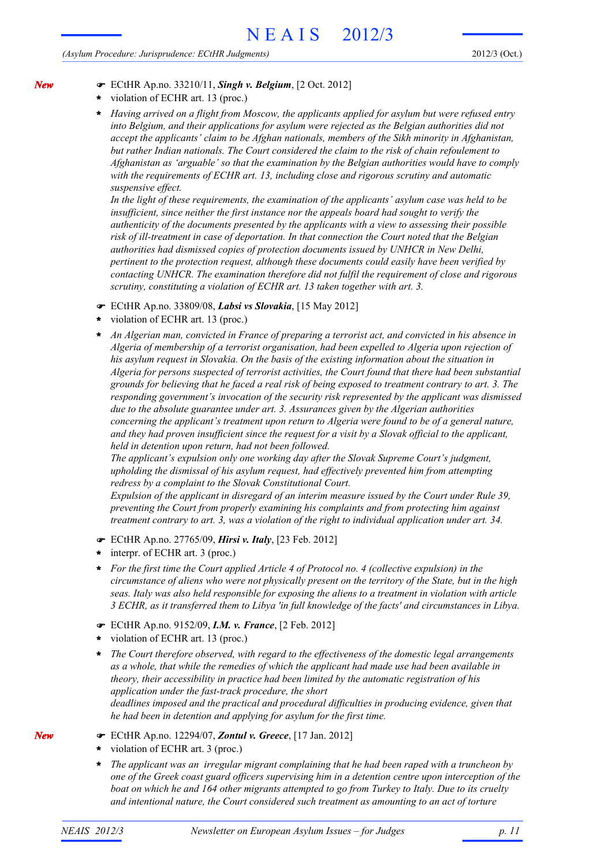#### *(Asylum Procedure: Jurisprudence: ECtHR Judgments)*

- ECtHR Ap.no. 33210/11, *Singh v. Belgium*, [2 Oct. 2012]
	- violation of ECHR art. 13 (proc.) **\***
	- *Having arrived on a flight from Moscow, the applicants applied for asylum but were refused entry into Belgium, and their applications for asylum were rejected as the Belgian authorities did not accept the applicants' claim to be Afghan nationals, members of the Sikh minority in Afghanistan, but rather Indian nationals. The Court considered the claim to the risk of chain refoulement to Afghanistan as 'arguable' so that the examination by the Belgian authorities would have to comply with the requirements of ECHR art. 13, including close and rigorous scrutiny and automatic suspensive effect.* **\***

*In the light of these requirements, the examination of the applicants' asylum case was held to be insufficient, since neither the first instance nor the appeals board had sought to verify the authenticity of the documents presented by the applicants with a view to assessing their possible risk of ill-treatment in case of deportation. In that connection the Court noted that the Belgian authorities had dismissed copies of protection documents issued by UNHCR in New Delhi, pertinent to the protection request, although these documents could easily have been verified by contacting UNHCR. The examination therefore did not fulfil the requirement of close and rigorous scrutiny, constituting a violation of ECHR art. 13 taken together with art. 3.*

- ECtHR Ap.no. 33809/08, *Labsi vs Slovakia*, [15 May 2012]
- violation of ECHR art. 13 (proc.) **\***
- *An Algerian man, convicted in France of preparing a terrorist act, and convicted in his absence in Algeria of membership of a terrorist organisation, had been expelled to Algeria upon rejection of his asylum request in Slovakia. On the basis of the existing information about the situation in Algeria for persons suspected of terrorist activities, the Court found that there had been substantial grounds for believing that he faced a real risk of being exposed to treatment contrary to art. 3. The responding government's invocation of the security risk represented by the applicant was dismissed due to the absolute guarantee under art. 3. Assurances given by the Algerian authorities concerning the applicant's treatment upon return to Algeria were found to be of a general nature, and they had proven insufficient since the request for a visit by a Slovak official to the applicant, held in detention upon return, had not been followed.* **\***

*The applicant's expulsion only one working day after the Slovak Supreme Court's judgment, upholding the dismissal of his asylum request, had effectively prevented him from attempting redress by a complaint to the Slovak Constitutional Court.*

*Expulsion of the applicant in disregard of an interim measure issued by the Court under Rule 39, preventing the Court from properly examining his complaints and from protecting him against treatment contrary to art. 3, was a violation of the right to individual application under art. 34.*

- ECtHR Ap.no. 27765/09, *Hirsi v. Italy*, [23 Feb. 2012]
- interpr. of ECHR art. 3 (proc.) **\***
- *For the first time the Court applied Article 4 of Protocol no. 4 (collective expulsion) in the circumstance of aliens who were not physically present on the territory of the State, but in the high seas. Italy was also held responsible for exposing the aliens to a treatment in violation with article 3 ECHR, as it transferred them to Libya 'in full knowledge of the facts' and circumstances in Libya.* **\***
- ECtHR Ap.no. 9152/09, *I.M. v. France*, [2 Feb. 2012]
- violation of ECHR art. 13 (proc.) **\***
- *The Court therefore observed, with regard to the effectiveness of the domestic legal arrangements as a whole, that while the remedies of which the applicant had made use had been available in theory, their accessibility in practice had been limited by the automatic registration of his application under the fast-track procedure, the short deadlines imposed and the practical and procedural difficulties in producing evidence, given that he had been in detention and applying for asylum for the first time.* **\***

ECtHR Ap.no. 12294/07, *Zontul v. Greece*, [17 Jan. 2012]

- violation of ECHR art. 3 (proc.) **\***
- *The applicant was an irregular migrant complaining that he had been raped with a truncheon by one of the Greek coast guard officers supervising him in a detention centre upon interception of the boat on which he and 164 other migrants attempted to go from Turkey to Italy. Due to its cruelty and intentional nature, the Court considered such treatment as amounting to an act of torture* **\***

*New*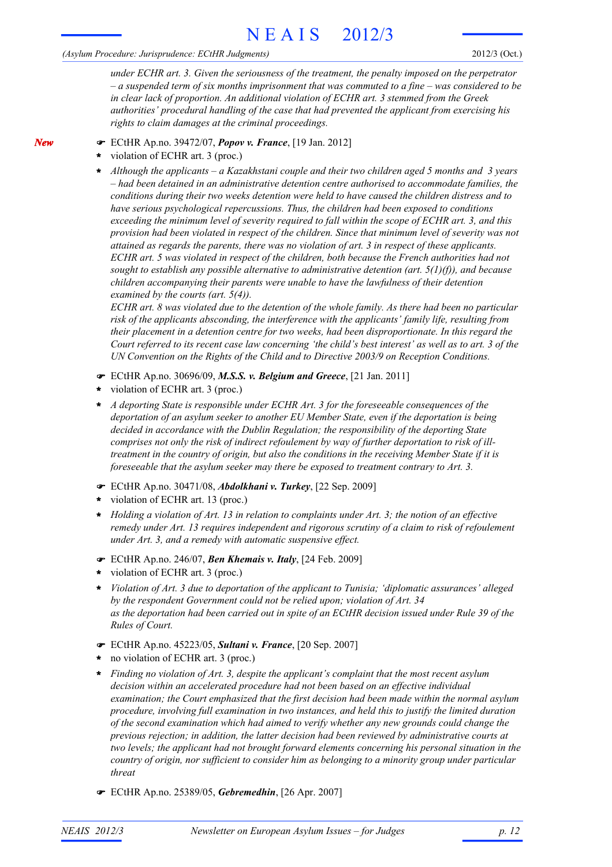### *(Asylum Procedure: Jurisprudence: ECtHR Judgments)*

*under ECHR art. 3. Given the seriousness of the treatment, the penalty imposed on the perpetrator – a suspended term of six months imprisonment that was commuted to a fine – was considered to be in clear lack of proportion. An additional violation of ECHR art. 3 stemmed from the Greek authorities' procedural handling of the case that had prevented the applicant from exercising his rights to claim damages at the criminal proceedings.*

- ECtHR Ap.no. 39472/07, *Popov v. France*, [19 Jan. 2012]
- violation of ECHR art. 3 (proc.) **\***

*Although the applicants – a Kazakhstani couple and their two children aged 5 months and 3 years* **\*** *– had been detained in an administrative detention centre authorised to accommodate families, the conditions during their two weeks detention were held to have caused the children distress and to have serious psychological repercussions. Thus, the children had been exposed to conditions exceeding the minimum level of severity required to fall within the scope of ECHR art. 3, and this provision had been violated in respect of the children. Since that minimum level of severity was not attained as regards the parents, there was no violation of art. 3 in respect of these applicants. ECHR art. 5 was violated in respect of the children, both because the French authorities had not sought to establish any possible alternative to administrative detention (art. 5(1)(f)), and because children accompanying their parents were unable to have the lawfulness of their detention examined by the courts (art. 5(4)).*

*ECHR art. 8 was violated due to the detention of the whole family. As there had been no particular risk of the applicants absconding, the interference with the applicants' family life, resulting from their placement in a detention centre for two weeks, had been disproportionate. In this regard the Court referred to its recent case law concerning 'the child's best interest' as well as to art. 3 of the UN Convention on the Rights of the Child and to Directive 2003/9 on Reception Conditions.*

- ECtHR Ap.no. 30696/09, *M.S.S. v. Belgium and Greece*, [21 Jan. 2011]
- violation of ECHR art. 3 (proc.) **\***
- *A deporting State is responsible under ECHR Art. 3 for the foreseeable consequences of the deportation of an asylum seeker to another EU Member State, even if the deportation is being decided in accordance with the Dublin Regulation; the responsibility of the deporting State comprises not only the risk of indirect refoulement by way of further deportation to risk of illtreatment in the country of origin, but also the conditions in the receiving Member State if it is foreseeable that the asylum seeker may there be exposed to treatment contrary to Art. 3.* **\***
- ECtHR Ap.no. 30471/08, *Abdolkhani v. Turkey*, [22 Sep. 2009]
- violation of ECHR art. 13 (proc.) **\***
- *Holding a violation of Art. 13 in relation to complaints under Art. 3; the notion of an effective* **\*** *remedy under Art. 13 requires independent and rigorous scrutiny of a claim to risk of refoulement under Art. 3, and a remedy with automatic suspensive effect.*
- ECtHR Ap.no. 246/07, *Ben Khemais v. Italy*, [24 Feb. 2009]
- violation of ECHR art. 3 (proc.) **\***
- *Violation of Art. 3 due to deportation of the applicant to Tunisia; 'diplomatic assurances' alleged by the respondent Government could not be relied upon; violation of Art. 34 as the deportation had been carried out in spite of an ECtHR decision issued under Rule 39 of the Rules of Court.* **\***
- ECtHR Ap.no. 45223/05, *Sultani v. France*, [20 Sep. 2007]
- no violation of ECHR art. 3 (proc.) **\***
- *Finding no violation of Art. 3, despite the applicant's complaint that the most recent asylum decision within an accelerated procedure had not been based on an effective individual examination; the Court emphasized that the first decision had been made within the normal asylum procedure, involving full examination in two instances, and held this to justify the limited duration of the second examination which had aimed to verify whether any new grounds could change the previous rejection; in addition, the latter decision had been reviewed by administrative courts at two levels; the applicant had not brought forward elements concerning his personal situation in the country of origin, nor sufficient to consider him as belonging to a minority group under particular threat* **\***
- ECtHR Ap.no. 25389/05, *Gebremedhin*, [26 Apr. 2007]

*New*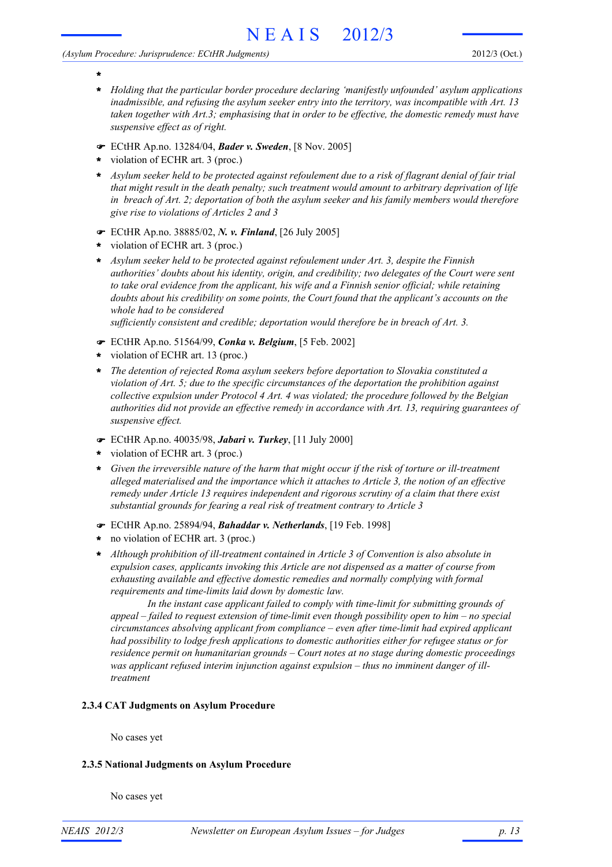#### *(Asylum Procedure: Jurisprudence: ECtHR Judgments)*

- **\* \***
- *Holding that the particular border procedure declaring 'manifestly unfounded' asylum applications inadmissible, and refusing the asylum seeker entry into the territory, was incompatible with Art. 13 taken together with Art.3; emphasising that in order to be effective, the domestic remedy must have suspensive effect as of right.*
- ECtHR Ap.no. 13284/04, *Bader v. Sweden*, [8 Nov. 2005]
- violation of ECHR art. 3 (proc.) **\***
- *Asylum seeker held to be protected against refoulement due to a risk of flagrant denial of fair trial* **\*** *that might result in the death penalty; such treatment would amount to arbitrary deprivation of life in breach of Art. 2; deportation of both the asylum seeker and his family members would therefore give rise to violations of Articles 2 and 3*
- ECtHR Ap.no. 38885/02, *N. v. Finland*, [26 July 2005]
- violation of ECHR art. 3 (proc.) **\***
- *Asylum seeker held to be protected against refoulement under Art. 3, despite the Finnish* **\*** *authorities' doubts about his identity, origin, and credibility; two delegates of the Court were sent to take oral evidence from the applicant, his wife and a Finnish senior official; while retaining doubts about his credibility on some points, the Court found that the applicant's accounts on the whole had to be considered*

*sufficiently consistent and credible; deportation would therefore be in breach of Art. 3.*

- ECtHR Ap.no. 51564/99, *Conka v. Belgium*, [5 Feb. 2002]
- violation of ECHR art. 13 (proc.) **\***
- *The detention of rejected Roma asylum seekers before deportation to Slovakia constituted a violation of Art. 5; due to the specific circumstances of the deportation the prohibition against collective expulsion under Protocol 4 Art. 4 was violated; the procedure followed by the Belgian authorities did not provide an effective remedy in accordance with Art. 13, requiring guarantees of suspensive effect.* **\***
- ECtHR Ap.no. 40035/98, *Jabari v. Turkey*, [11 July 2000]
- violation of ECHR art. 3 (proc.) **\***
- *Given the irreversible nature of the harm that might occur if the risk of torture or ill-treatment* **\*** *alleged materialised and the importance which it attaches to Article 3, the notion of an effective remedy under Article 13 requires independent and rigorous scrutiny of a claim that there exist substantial grounds for fearing a real risk of treatment contrary to Article 3*
- ECtHR Ap.no. 25894/94, *Bahaddar v. Netherlands*, [19 Feb. 1998]
- no violation of ECHR art. 3 (proc.) **\***
- *Although prohibition of ill-treatment contained in Article 3 of Convention is also absolute in expulsion cases, applicants invoking this Article are not dispensed as a matter of course from exhausting available and effective domestic remedies and normally complying with formal requirements and time-limits laid down by domestic law.* **\***

*In the instant case applicant failed to comply with time-limit for submitting grounds of appeal – failed to request extension of time-limit even though possibility open to him – no special circumstances absolving applicant from compliance – even after time-limit had expired applicant had possibility to lodge fresh applications to domestic authorities either for refugee status or for residence permit on humanitarian grounds – Court notes at no stage during domestic proceedings was applicant refused interim injunction against expulsion – thus no imminent danger of illtreatment*

# **2.3.4 CAT Judgments on Asylum Procedure**

No cases yet

#### **2.3.5 National Judgments on Asylum Procedure**

No cases yet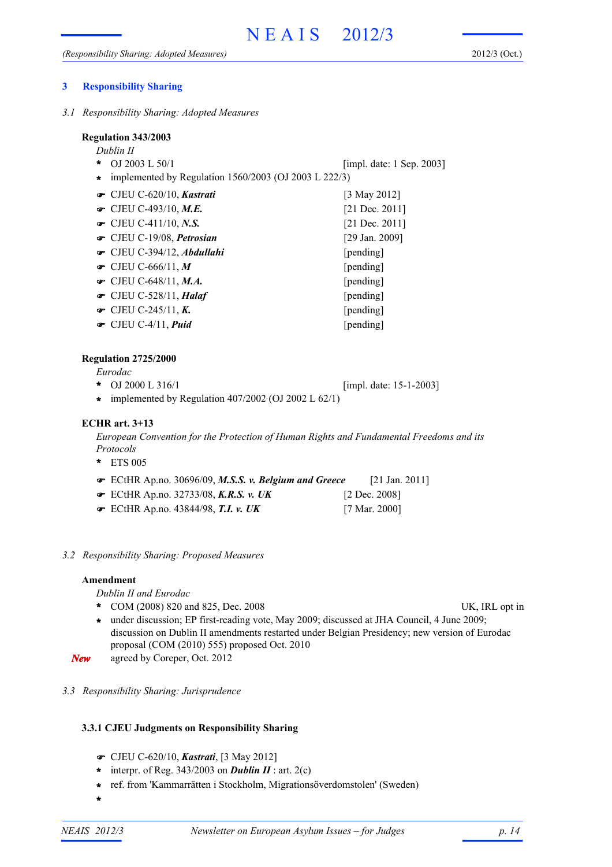*3.1 Responsibility Sharing: Adopted Measures*

*Dublin II*

- OJ 2003 L 50/1 **\*** [impl. date: 1 Sep. 2003]
- **\*** implemented by Regulation 1560/2003 (OJ 2003 L 222/3)
- CJEU C-620/10, *Kastrati* [3 May 2012] CJEU C-493/10, *M.E.* [21 Dec. 2011] CJEU C-411/10, *N.S.* [21 Dec. 2011] CJEU C-19/08, *Petrosian* [29 Jan. 2009] CJEU C-394/12, *Abdullahi* [pending] CJEU C-666/11, *M* [pending] CJEU C-648/11, *M.A.* [pending] CJEU C-528/11, *Halaf* [pending] CJEU C-245/11, *K.* [pending] CJEU C-4/11, *Puid* [pending]

# **Regulation 2725/2000**

*Eurodac*

- OJ 2000 L 316/1 **\*** [impl. date: 15-1-2003]
- **\*** implemented by Regulation 407/2002 (OJ 2002 L 62/1)

# **ECHR art. 3+13**

*European Convention for the Protection of Human Rights and Fundamental Freedoms and its Protocols*

- ETS 005 **\***
- ECtHR Ap.no. 30696/09, *M.S.S. v. Belgium and Greece* [21 Jan. 2011]
- ECtHR Ap.no. 32733/08, *K.R.S. v. UK* [2 Dec. 2008]
- ECtHR Ap.no. 43844/98, *T.I. v. UK* [7 Mar. 2000]
- *3.2 Responsibility Sharing: Proposed Measures*

## **Amendment**

*Dublin II and Eurodac*

- \* COM (2008) 820 and 825, Dec. 2008 UK, IRL opt in
	-
- under discussion; EP first-reading vote, May 2009; discussed at JHA Council, 4 June 2009; **\*** discussion on Dublin II amendments restarted under Belgian Presidency; new version of Eurodac proposal (COM (2010) 555) proposed Oct. 2010
- *New* agreed by Coreper, Oct. 2012
- *3.3 Responsibility Sharing: Jurisprudence*

# **3.3.1 CJEU Judgments on Responsibility Sharing**

- CJEU C-620/10, *Kastrati*, [3 May 2012]
- \* interpr. of Reg.  $343/2003$  on **Dublin II** : art. 2(c)
- ref. from 'Kammarrätten i Stockholm, Migrationsöverdomstolen' (Sweden) **\***
- **\***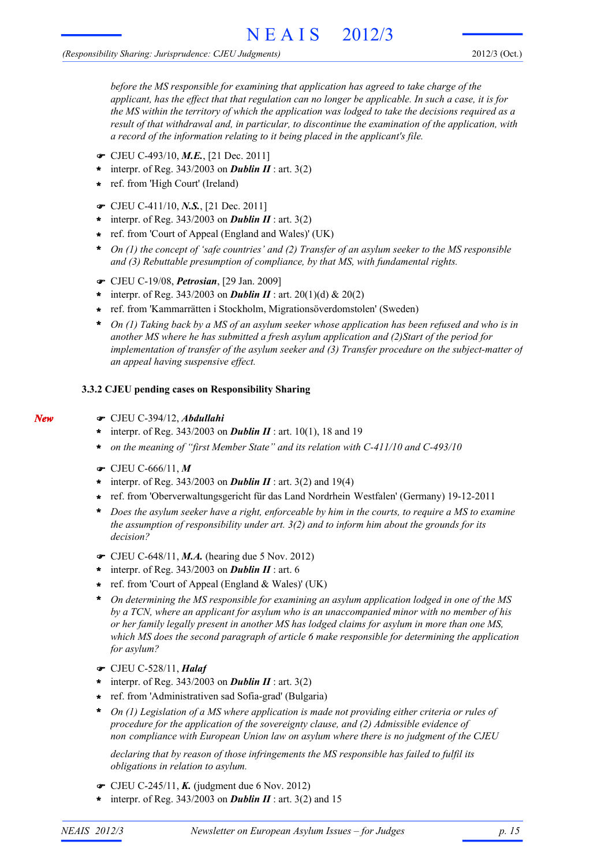*before the MS responsible for examining that application has agreed to take charge of the applicant, has the effect that that regulation can no longer be applicable. In such a case, it is for the MS within the territory of which the application was lodged to take the decisions required as a result of that withdrawal and, in particular, to discontinue the examination of the application, with a record of the information relating to it being placed in the applicant's file.*

- CJEU C-493/10, *M.E.*, [21 Dec. 2011]
- \* interpr. of Reg.  $343/2003$  on **Dublin II** : art.  $3(2)$
- ref. from 'High Court' (Ireland) **\***
- CJEU C-411/10, *N.S.*, [21 Dec. 2011]
- \* interpr. of Reg.  $343/2003$  on **Dublin II** : art.  $3(2)$
- ref. from 'Court of Appeal (England and Wales)' (UK) **\***
- *On (1) the concept of 'safe countries' and (2) Transfer of an asylum seeker to the MS responsible* **\*** *and (3) Rebuttable presumption of compliance, by that MS, with fundamental rights.*
- CJEU C-19/08, *Petrosian*, [29 Jan. 2009]
- \* interpr. of Reg.  $343/2003$  on **Dublin II** : art.  $20(1)(d)$  &  $20(2)$
- ref. from 'Kammarrätten i Stockholm, Migrationsöverdomstolen' (Sweden) **\***
- *On (1) Taking back by a MS of an asylum seeker whose application has been refused and who is in another MS where he has submitted a fresh asylum application and (2)Start of the period for implementation of transfer of the asylum seeker and (3) Transfer procedure on the subject-matter of an appeal having suspensive effect.* **\***

#### **3.3.2 CJEU pending cases on Responsibility Sharing**

- *New*
- CJEU C-394/12, *Abdullahi*
- \* interpr. of Reg. 343/2003 on **Dublin II** : art. 10(1), 18 and 19
- *on the meaning of "first Member State" and its relation with C-411/10 and C-493/10* **\***
- CJEU C-666/11, *M*
- \* interpr. of Reg. 343/2003 on **Dublin II** : art. 3(2) and 19(4)
- ref. from 'Oberverwaltungsgericht für das Land Nordrhein Westfalen' (Germany) 19-12-2011 **\***
- *Does the asylum seeker have a right, enforceable by him in the courts, to require a MS to examine the assumption of responsibility under art. 3(2) and to inform him about the grounds for its decision?* **\***
- CJEU C-648/11, *M.A.* (hearing due 5 Nov. 2012)
- interpr. of Reg. 343/2003 on *Dublin II* : art. 6 **\***
- ref. from 'Court of Appeal (England & Wales)' (UK) **\***
- *On determining the MS responsible for examining an asylum application lodged in one of the MS by a TCN, where an applicant for asylum who is an unaccompanied minor with no member of his or her family legally present in another MS has lodged claims for asylum in more than one MS, which MS does the second paragraph of article 6 make responsible for determining the application for asylum?* **\***
- CJEU C-528/11, *Halaf*
- \* interpr. of Reg.  $343/2003$  on **Dublin II** : art.  $3(2)$
- ref. from 'Administrativen sad Sofia-grad' (Bulgaria) **\***
- *On (1) Legislation of a MS where application is made not providing either criteria or rules of* **\*** *procedure for the application of the sovereignty clause, and (2) Admissible evidence of non compliance with European Union law on asylum where there is no judgment of the CJEU*

*declaring that by reason of those infringements the MS responsible has failed to fulfil its obligations in relation to asylum.*

- CJEU C-245/11, *K.* (judgment due 6 Nov. 2012)
- \* interpr. of Reg. 343/2003 on **Dublin II** : art. 3(2) and 15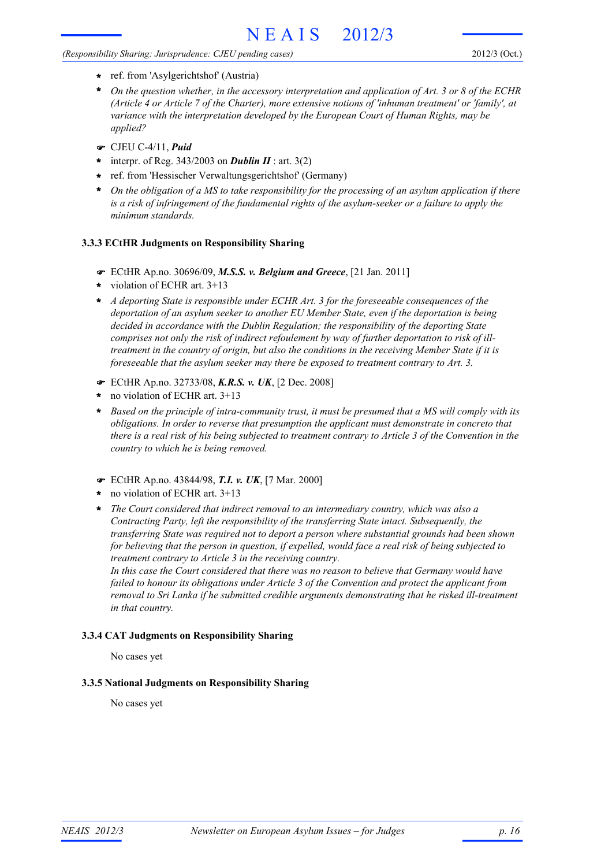## *(Responsibility Sharing: Jurisprudence: CJEU pending cases)*

- ref. from 'Asylgerichtshof' (Austria) **\***
- *On the question whether, in the accessory interpretation and application of Art. 3 or 8 of the ECHR (Article 4 or Article 7 of the Charter), more extensive notions of 'inhuman treatment' or 'family', at variance with the interpretation developed by the European Court of Human Rights, may be applied?* **\***
- CJEU C-4/11, *Puid*
- interpr. of Reg. 343/2003 on *Dublin II* : art. 3(2) **\***
- ref. from 'Hessischer Verwaltungsgerichtshof' (Germany) **\***
- *On the obligation of a MS to take responsibility for the processing of an asylum application if there is a risk of infringement of the fundamental rights of the asylum-seeker or a failure to apply the minimum standards.* **\***

# **3.3.3 ECtHR Judgments on Responsibility Sharing**

- ECtHR Ap.no. 30696/09, *M.S.S. v. Belgium and Greece*, [21 Jan. 2011]
- violation of ECHR art. 3+13 **\***
- *A deporting State is responsible under ECHR Art. 3 for the foreseeable consequences of the* **\*** *deportation of an asylum seeker to another EU Member State, even if the deportation is being decided in accordance with the Dublin Regulation; the responsibility of the deporting State comprises not only the risk of indirect refoulement by way of further deportation to risk of illtreatment in the country of origin, but also the conditions in the receiving Member State if it is foreseeable that the asylum seeker may there be exposed to treatment contrary to Art. 3.*
- ECtHR Ap.no. 32733/08, *K.R.S. v. UK*, [2 Dec. 2008]
- no violation of ECHR art. 3+13 **\***
- *Based on the principle of intra-community trust, it must be presumed that a MS will comply with its* **\*** *obligations. In order to reverse that presumption the applicant must demonstrate in concreto that there is a real risk of his being subjected to treatment contrary to Article 3 of the Convention in the country to which he is being removed.*
- ECtHR Ap.no. 43844/98, *T.I. v. UK*, [7 Mar. 2000]
- no violation of ECHR art. 3+13 **\***
- *The Court considered that indirect removal to an intermediary country, which was also a* **\*** *Contracting Party, left the responsibility of the transferring State intact. Subsequently, the transferring State was required not to deport a person where substantial grounds had been shown for believing that the person in question, if expelled, would face a real risk of being subjected to treatment contrary to Article 3 in the receiving country.*

*In this case the Court considered that there was no reason to believe that Germany would have failed to honour its obligations under Article 3 of the Convention and protect the applicant from removal to Sri Lanka if he submitted credible arguments demonstrating that he risked ill-treatment in that country.*

## **3.3.4 CAT Judgments on Responsibility Sharing**

No cases yet

## **3.3.5 National Judgments on Responsibility Sharing**

No cases yet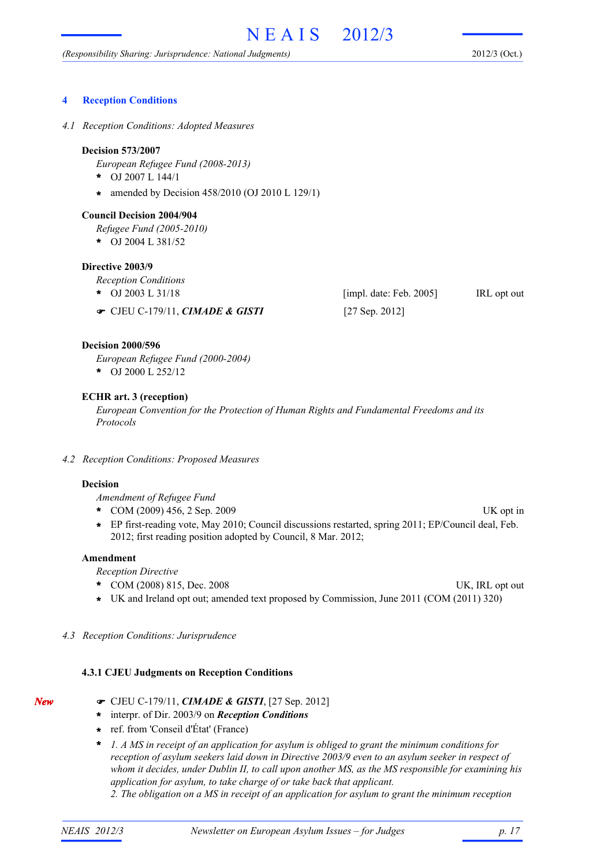## **4 Reception Conditions**

*4.1 Reception Conditions: Adopted Measures*

#### **Decision 573/2007**

*European Refugee Fund (2008-2013)*

- OJ 2007 L 144/1 **\***
- amended by Decision 458/2010 (OJ 2010 L 129/1) **\***

#### **Council Decision 2004/904**

*Refugee Fund (2005-2010)*

OJ 2004 L 381/52 **\***

# **Directive 2003/9**

*Reception Conditions*

- OJ 2003 L 31/18 **IRL opt out IRL opt out IRL opt out IRL opt out IRL opt out** \* OJ 2003 L 31/18
- CJEU C-179/11, *CIMADE & GISTI* [27 Sep. 2012]

## **Decision 2000/596**

*European Refugee Fund (2000-2004)*

OJ 2000 L 252/12 **\***

#### **ECHR art. 3 (reception)**

*European Convention for the Protection of Human Rights and Fundamental Freedoms and its Protocols*

*4.2 Reception Conditions: Proposed Measures*

#### **Decision**

*Amendment of Refugee Fund*

- COM (2009) 456, 2 Sep. 2009 UK opt in **\***
- EP first-reading vote, May 2010; Council discussions restarted, spring 2011; EP/Council deal, Feb. **\*** 2012; first reading position adopted by Council, 8 Mar. 2012;

# **Amendment**

*Reception Directive*

- \* COM (2008) 815, Dec. 2008 UK, IRL opt out
- 
- **\*** UK and Ireland opt out; amended text proposed by Commission, June 2011 (COM (2011) 320)

### *4.3 Reception Conditions: Jurisprudence*

#### **4.3.1 CJEU Judgments on Reception Conditions**

- CJEU C-179/11, *CIMADE & GISTI*, [27 Sep. 2012]
- interpr. of Dir. 2003/9 on *Reception Conditions* **\***
- ref. from 'Conseil d'État' (France) **\***
- *1. A MS in receipt of an application for asylum is obliged to grant the minimum conditions for reception of asylum seekers laid down in Directive 2003/9 even to an asylum seeker in respect of whom it decides, under Dublin II, to call upon another MS, as the MS responsible for examining his application for asylum, to take charge of or take back that applicant.* **\***
	- *2. The obligation on a MS in receipt of an application for asylum to grant the minimum reception*

*New*